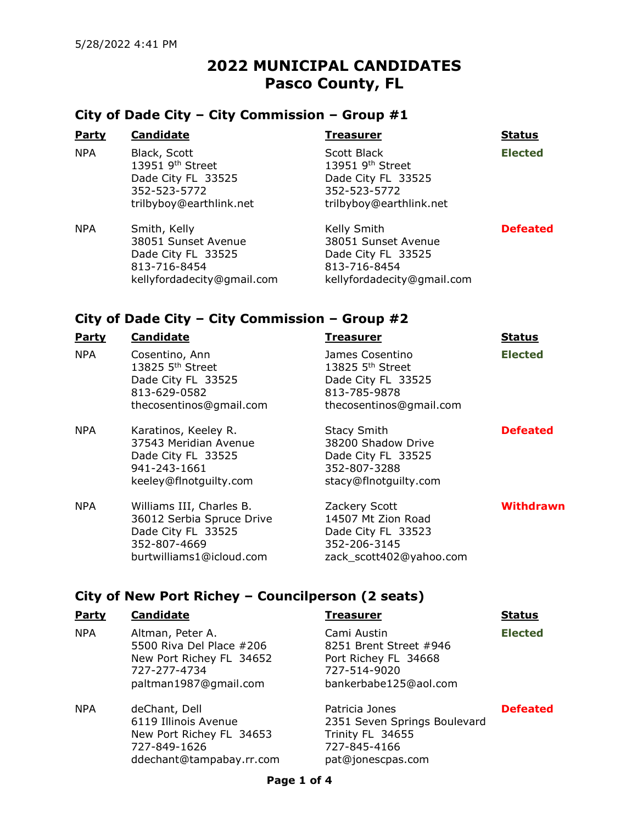# 2022 MUNICIPAL CANDIDATES Pasco County, FL

### City of Dade City – City Commission – Group #1

| <b>Party</b> | <b>Candidate</b>                                                                                              | Treasurer                                                                                              | <b>Status</b>   |
|--------------|---------------------------------------------------------------------------------------------------------------|--------------------------------------------------------------------------------------------------------|-----------------|
| <b>NPA</b>   | Black, Scott<br>13951 9 <sup>th</sup> Street<br>Dade City FL 33525<br>352-523-5772<br>trilbyboy@earthlink.net | Scott Black<br>13951 9th Street<br>Dade City FL 33525<br>352-523-5772<br>trilbyboy@earthlink.net       | <b>Elected</b>  |
| <b>NPA</b>   | Smith, Kelly<br>38051 Sunset Avenue<br>Dade City FL 33525<br>813-716-8454<br>kellyfordadecity@gmail.com       | Kelly Smith<br>38051 Sunset Avenue<br>Dade City FL 33525<br>813-716-8454<br>kellyfordadecity@gmail.com | <b>Defeated</b> |

### City of Dade City – City Commission – Group #2

| <b>Party</b> | <b>Candidate</b>                                                                                                        | Treasurer                                                                                                        | <b>Status</b>   |
|--------------|-------------------------------------------------------------------------------------------------------------------------|------------------------------------------------------------------------------------------------------------------|-----------------|
| <b>NPA</b>   | Cosentino, Ann<br>13825 5 <sup>th</sup> Street<br>Dade City FL 33525<br>813-629-0582<br>thecosentinos@gmail.com         | James Cosentino<br>13825 5 <sup>th</sup> Street<br>Dade City FL 33525<br>813-785-9878<br>thecosentinos@gmail.com | <b>Elected</b>  |
| <b>NPA</b>   | Karatinos, Keeley R.<br>37543 Meridian Avenue<br>Dade City FL 33525<br>941-243-1661<br>keeley@flnotguilty.com           | <b>Stacy Smith</b><br>38200 Shadow Drive<br>Dade City FL 33525<br>352-807-3288<br>stacy@flnotguilty.com          | <b>Defeated</b> |
| <b>NPA</b>   | Williams III, Charles B.<br>36012 Serbia Spruce Drive<br>Dade City FL 33525<br>352-807-4669<br>burtwilliams1@icloud.com | Zackery Scott<br>14507 Mt Zion Road<br>Dade City FL 33523<br>352-206-3145<br>zack scott402@yahoo.com             | Withdrawn       |

## City of New Port Richey – Councilperson (2 seats)

727-849-1626

ddechant@tampabay.rr.com

| <b>Party</b> | <b>Candidate</b>                                                                                                  | <b>Treasurer</b>                                                                                       | <b>Status</b>   |
|--------------|-------------------------------------------------------------------------------------------------------------------|--------------------------------------------------------------------------------------------------------|-----------------|
| <b>NPA</b>   | Altman, Peter A.<br>5500 Riva Del Place #206<br>New Port Richey FL 34652<br>727-277-4734<br>paltman1987@gmail.com | Cami Austin<br>8251 Brent Street #946<br>Port Richey FL 34668<br>727-514-9020<br>bankerbabe125@aol.com | <b>Elected</b>  |
| <b>NPA</b>   | deChant, Dell<br>6119 Illinois Avenue<br>New Port Richey FL 34653                                                 | Patricia Jones<br>2351 Seven Springs Boulevard<br>Trinity FL 34655                                     | <b>Defeated</b> |

727-845-4166 pat@jonescpas.com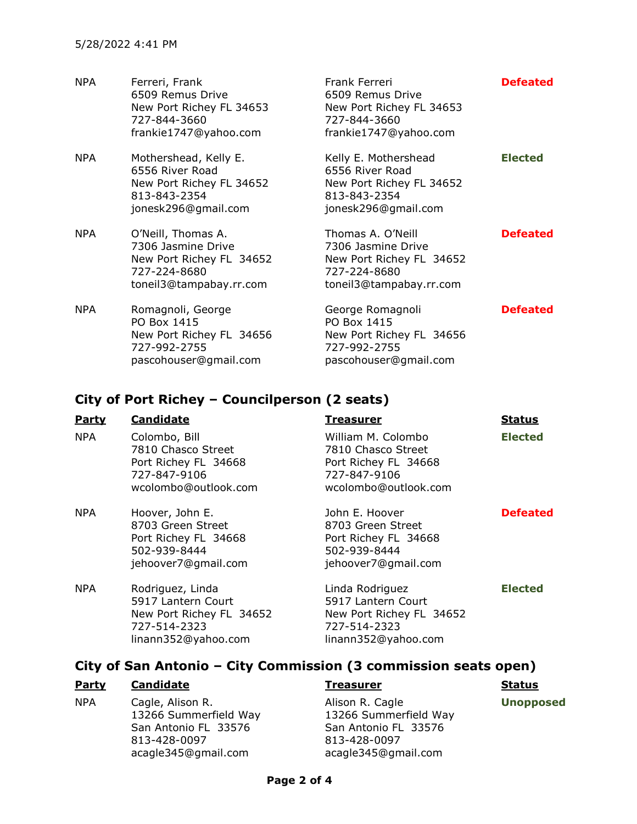| <b>NPA</b> | Ferreri, Frank<br>6509 Remus Drive<br>New Port Richey FL 34653<br>727-844-3660<br>frankie1747@yahoo.com         | Frank Ferreri<br>6509 Remus Drive<br>New Port Richey FL 34653<br>727-844-3660<br>frankie1747@yahoo.com         | <b>Defeated</b> |
|------------|-----------------------------------------------------------------------------------------------------------------|----------------------------------------------------------------------------------------------------------------|-----------------|
| NPA        | Mothershead, Kelly E.<br>6556 River Road<br>New Port Richey FL 34652<br>813-843-2354<br>jonesk296@gmail.com     | Kelly E. Mothershead<br>6556 River Road<br>New Port Richey FL 34652<br>813-843-2354<br>jonesk296@gmail.com     | <b>Elected</b>  |
| NPA        | O'Neill, Thomas A.<br>7306 Jasmine Drive<br>New Port Richey FL 34652<br>727-224-8680<br>toneil3@tampabay.rr.com | Thomas A. O'Neill<br>7306 Jasmine Drive<br>New Port Richey FL 34652<br>727-224-8680<br>toneil3@tampabay.rr.com | <b>Defeated</b> |
| <b>NPA</b> | Romagnoli, George<br>PO Box 1415<br>New Port Richey FL 34656<br>727-992-2755<br>pascohouser@gmail.com           | George Romagnoli<br>PO Box 1415<br>New Port Richey FL 34656<br>727-992-2755<br>pascohouser@gmail.com           | <b>Defeated</b> |

### City of Port Richey – Councilperson (2 seats)

| <b>Party</b> | <b>Candidate</b>                                                                                          | <b>Treasurer</b>                                                                                         | <b>Status</b>   |
|--------------|-----------------------------------------------------------------------------------------------------------|----------------------------------------------------------------------------------------------------------|-----------------|
| NPA.         | Colombo, Bill<br>7810 Chasco Street<br>Port Richey FL 34668<br>727-847-9106<br>wcolombo@outlook.com       | William M. Colombo<br>7810 Chasco Street<br>Port Richey FL 34668<br>727-847-9106<br>wcolombo@outlook.com | <b>Elected</b>  |
| <b>NPA</b>   | Hoover, John E.<br>8703 Green Street<br>Port Richey FL 34668<br>502-939-8444<br>jehoover7@gmail.com       | John E. Hoover<br>8703 Green Street<br>Port Richey FL 34668<br>502-939-8444<br>jehoover7@gmail.com       | <b>Defeated</b> |
| <b>NPA</b>   | Rodriguez, Linda<br>5917 Lantern Court<br>New Port Richey FL 34652<br>727-514-2323<br>linann352@yahoo.com | Linda Rodriguez<br>5917 Lantern Court<br>New Port Richey FL 34652<br>727-514-2323<br>linann352@yahoo.com | <b>Elected</b>  |

### City of San Antonio – City Commission (3 commission seats open)

### Party Candidate Treasurer Treasurer Status

NPA Cagle, Alison R. 13266 Summerfield Way San Antonio FL 33576 813-428-0097 acagle345@gmail.com

Alison R. Cagle 13266 Summerfield Way San Antonio FL 33576 813-428-0097 acagle345@gmail.com

Unopposed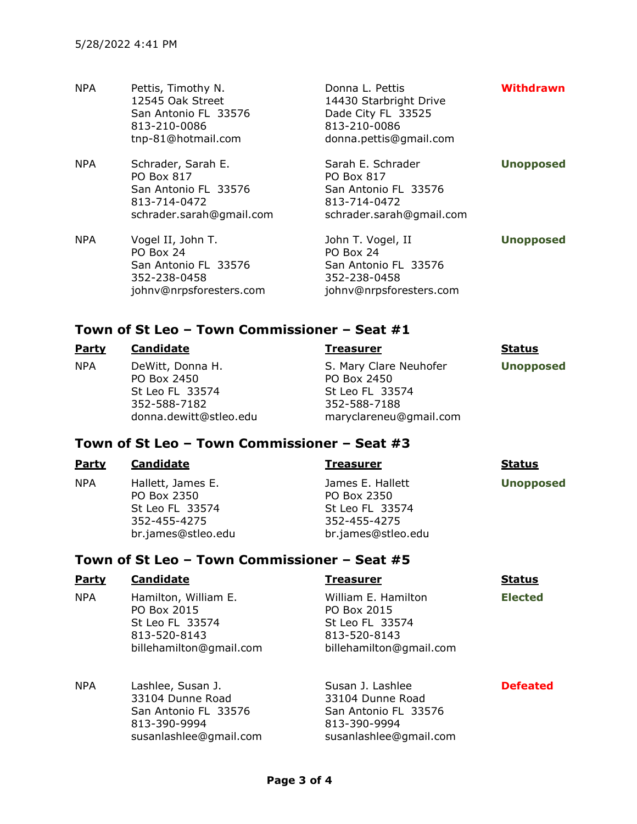| <b>NPA</b> | Pettis, Timothy N.<br>12545 Oak Street<br>San Antonio FL 33576<br>813-210-0086<br>tnp-81@hotmail.com        | Donna L. Pettis<br>14430 Starbright Drive<br>Dade City FL 33525<br>813-210-0086<br>donna.pettis@gmail.com  | <b>Withdrawn</b> |
|------------|-------------------------------------------------------------------------------------------------------------|------------------------------------------------------------------------------------------------------------|------------------|
| <b>NPA</b> | Schrader, Sarah E.<br><b>PO Box 817</b><br>San Antonio FL 33576<br>813-714-0472<br>schrader.sarah@gmail.com | Sarah E. Schrader<br><b>PO Box 817</b><br>San Antonio FL 33576<br>813-714-0472<br>schrader.sarah@gmail.com | <b>Unopposed</b> |
| <b>NPA</b> | Vogel II, John T.<br>PO Box 24<br>San Antonio FL 33576<br>352-238-0458<br>johnv@nrpsforesters.com           | John T. Vogel, II<br>PO Box 24<br>San Antonio FL 33576<br>352-238-0458<br>johnv@nrpsforesters.com          | <b>Unopposed</b> |

### Town of St Leo – Town Commissioner – Seat #1

| <b>Party</b> | Candidate                                                                                    | Treasurer                                                                                          | <b>Status</b>    |
|--------------|----------------------------------------------------------------------------------------------|----------------------------------------------------------------------------------------------------|------------------|
| <b>NPA</b>   | DeWitt, Donna H.<br>PO Box 2450<br>St Leo FL 33574<br>352-588-7182<br>donna.dewitt@stleo.edu | S. Mary Clare Neuhofer<br>PO Box 2450<br>St Leo FL 33574<br>352-588-7188<br>maryclareneu@gmail.com | <b>Unopposed</b> |

## Town of St Leo – Town Commissioner – Seat #3

| <b>Party</b> | <b>Candidate</b>                                                                          | <b>Treasurer</b>                                                                         | <b>Status</b>    |
|--------------|-------------------------------------------------------------------------------------------|------------------------------------------------------------------------------------------|------------------|
| <b>NPA</b>   | Hallett, James E.<br>PO Box 2350<br>St Leo FL 33574<br>352-455-4275<br>br.james@stleo.edu | James E. Hallett<br>PO Box 2350<br>St Leo FL 33574<br>352-455-4275<br>br.james@stleo.edu | <b>Unopposed</b> |

## Town of St Leo – Town Commissioner – Seat #5

| Party      | <b>Candidate</b>                                                                                  | <b>Treasurer</b>                                                                                 | <b>Status</b>  |
|------------|---------------------------------------------------------------------------------------------------|--------------------------------------------------------------------------------------------------|----------------|
| <b>NPA</b> | Hamilton, William E.<br>PO Box 2015<br>St Leo FL 33574<br>813-520-8143<br>billehamilton@gmail.com | William E. Hamilton<br>PO Box 2015<br>St Leo FL 33574<br>813-520-8143<br>billehamilton@gmail.com | <b>Elected</b> |
| <b>NPA</b> | Lachlee Susan 1                                                                                   | Susan 1 Lashlee                                                                                  | Defeate        |

| NPA | Lashlee, Susan J.      | Susan J. Lashlee       | <b>Defeated</b> |
|-----|------------------------|------------------------|-----------------|
|     | 33104 Dunne Road       | 33104 Dunne Road       |                 |
|     | San Antonio FL 33576   | San Antonio FL 33576   |                 |
|     | 813-390-9994           | 813-390-9994           |                 |
|     | susanlashlee@gmail.com | susanlashlee@gmail.com |                 |